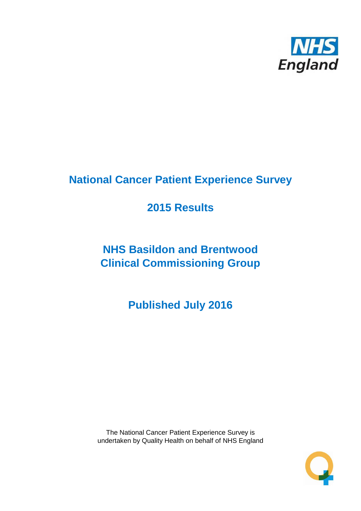

# **National Cancer Patient Experience Survey**

# **2015 Results**

# **NHS Basildon and Brentwood Clinical Commissioning Group**

**Published July 2016**

The National Cancer Patient Experience Survey is undertaken by Quality Health on behalf of NHS England

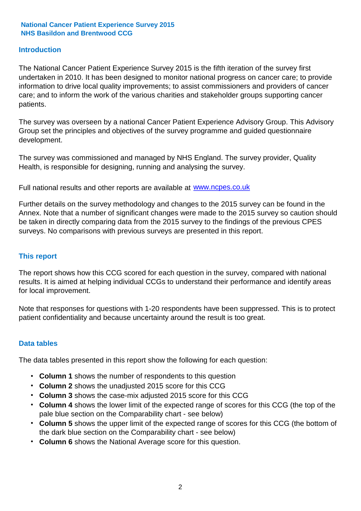#### **Introduction**

The National Cancer Patient Experience Survey 2015 is the fifth iteration of the survey first undertaken in 2010. It has been designed to monitor national progress on cancer care; to provide information to drive local quality improvements; to assist commissioners and providers of cancer care; and to inform the work of the various charities and stakeholder groups supporting cancer patients.

The survey was overseen by a national Cancer Patient Experience Advisory Group. This Advisory Group set the principles and objectives of the survey programme and guided questionnaire development.

The survey was commissioned and managed by NHS England. The survey provider, Quality Health, is responsible for designing, running and analysing the survey.

Full national results and other reports are available at www.ncpes.co.uk

Further details on the survey methodology and changes to the 2015 survey can be found in the Annex. Note that a number of significant changes were made to the 2015 survey so caution should be taken in directly comparing data from the 2015 survey to the findings of the previous CPES surveys. No comparisons with previous surveys are presented in this report.

#### **This report**

The report shows how this CCG scored for each question in the survey, compared with national results. It is aimed at helping individual CCGs to understand their performance and identify areas for local improvement.

Note that responses for questions with 1-20 respondents have been suppressed. This is to protect patient confidentiality and because uncertainty around the result is too great.

#### **Data tables**

The data tables presented in this report show the following for each question:

- **Column 1** shows the number of respondents to this question
- **Column 2** shows the unadjusted 2015 score for this CCG
- **Column 3** shows the case-mix adjusted 2015 score for this CCG
- **Column 4** shows the lower limit of the expected range of scores for this CCG (the top of the pale blue section on the Comparability chart - see below)
- **Column 5** shows the upper limit of the expected range of scores for this CCG (the bottom of the dark blue section on the Comparability chart - see below)
- **Column 6** shows the National Average score for this question.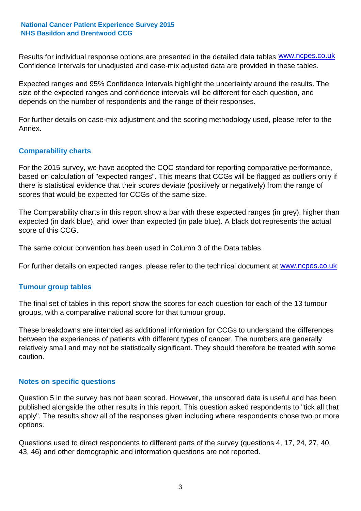Results for individual response options are presented in the detailed data tables **WWW.ncpes.co.uk** Confidence Intervals for unadjusted and case-mix adjusted data are provided in these tables.

Expected ranges and 95% Confidence Intervals highlight the uncertainty around the results. The size of the expected ranges and confidence intervals will be different for each question, and depends on the number of respondents and the range of their responses.

For further details on case-mix adjustment and the scoring methodology used, please refer to the Annex.

#### **Comparability charts**

For the 2015 survey, we have adopted the CQC standard for reporting comparative performance, based on calculation of "expected ranges". This means that CCGs will be flagged as outliers only if there is statistical evidence that their scores deviate (positively or negatively) from the range of scores that would be expected for CCGs of the same size.

The Comparability charts in this report show a bar with these expected ranges (in grey), higher than expected (in dark blue), and lower than expected (in pale blue). A black dot represents the actual score of this CCG.

The same colour convention has been used in Column 3 of the Data tables.

For further details on expected ranges, please refer to the technical document at **www.ncpes.co.uk** 

#### **Tumour group tables**

The final set of tables in this report show the scores for each question for each of the 13 tumour groups, with a comparative national score for that tumour group.

These breakdowns are intended as additional information for CCGs to understand the differences between the experiences of patients with different types of cancer. The numbers are generally relatively small and may not be statistically significant. They should therefore be treated with some caution.

#### **Notes on specific questions**

Question 5 in the survey has not been scored. However, the unscored data is useful and has been published alongside the other results in this report. This question asked respondents to "tick all that apply". The results show all of the responses given including where respondents chose two or more options.

Questions used to direct respondents to different parts of the survey (questions 4, 17, 24, 27, 40, 43, 46) and other demographic and information questions are not reported.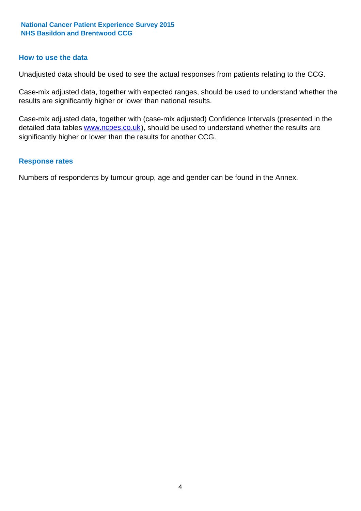#### **How to use the data**

Unadjusted data should be used to see the actual responses from patients relating to the CCG.

Case-mix adjusted data, together with expected ranges, should be used to understand whether the results are significantly higher or lower than national results.

Case-mix adjusted data, together with (case-mix adjusted) Confidence Intervals (presented in the detailed data tables **www.ncpes.co.uk**), should be used to understand whether the results are significantly higher or lower than the results for another CCG.

#### **Response rates**

Numbers of respondents by tumour group, age and gender can be found in the Annex.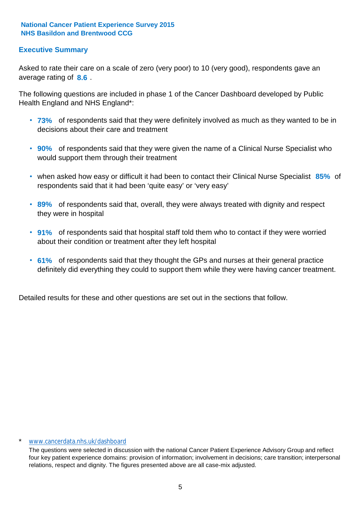#### **Executive Summary**

average rating of 8.6. Asked to rate their care on a scale of zero (very poor) to 10 (very good), respondents gave an

The following questions are included in phase 1 of the Cancer Dashboard developed by Public Health England and NHS England\*:

- **73%** of respondents said that they were definitely involved as much as they wanted to be in decisions about their care and treatment
- **90%** of respondents said that they were given the name of a Clinical Nurse Specialist who would support them through their treatment
- when asked how easy or difficult it had been to contact their Clinical Nurse Specialist 85% of respondents said that it had been 'quite easy' or 'very easy'
- **89%** of respondents said that, overall, they were always treated with dignity and respect they were in hospital
- **91%** of respondents said that hospital staff told them who to contact if they were worried about their condition or treatment after they left hospital
- **61%** of respondents said that they thought the GPs and nurses at their general practice definitely did everything they could to support them while they were having cancer treatment.

Detailed results for these and other questions are set out in the sections that follow.

#### \* www.cancerdata.nhs.uk/dashboard

The questions were selected in discussion with the national Cancer Patient Experience Advisory Group and reflect four key patient experience domains: provision of information; involvement in decisions; care transition; interpersonal relations, respect and dignity. The figures presented above are all case-mix adjusted.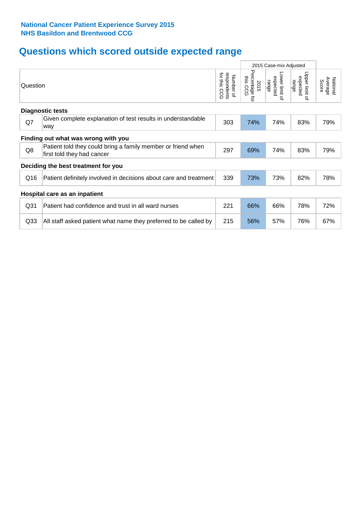# **Questions which scored outside expected range**

|                         |                                                                                            |                                             | 2015 Case-mix Adjusted              |                                     |                                       |                              |  |  |  |
|-------------------------|--------------------------------------------------------------------------------------------|---------------------------------------------|-------------------------------------|-------------------------------------|---------------------------------------|------------------------------|--|--|--|
| Question                |                                                                                            | for this<br>respondents<br>Number of<br>CCG | Percentage<br>this CCG<br>2015<br>ā | Lower limit of<br>expected<br>range | Upper limit<br>expected<br>range<br>õ | National<br>Average<br>Score |  |  |  |
| <b>Diagnostic tests</b> |                                                                                            |                                             |                                     |                                     |                                       |                              |  |  |  |
| Q7                      | Given complete explanation of test results in understandable<br>way                        | 303                                         | 74%                                 | 74%                                 | 83%                                   | 79%                          |  |  |  |
|                         | Finding out what was wrong with you                                                        |                                             |                                     |                                     |                                       |                              |  |  |  |
| Q8                      | Patient told they could bring a family member or friend when<br>first told they had cancer | 297                                         | 69%                                 | 74%                                 | 83%                                   | 79%                          |  |  |  |
|                         | Deciding the best treatment for you                                                        |                                             |                                     |                                     |                                       |                              |  |  |  |
| Q16                     | Patient definitely involved in decisions about care and treatment                          | 339                                         | 73%                                 | 73%                                 | 82%                                   | 78%                          |  |  |  |
|                         | Hospital care as an inpatient                                                              |                                             |                                     |                                     |                                       |                              |  |  |  |
| Q <sub>31</sub>         | Patient had confidence and trust in all ward nurses                                        | 221                                         | 66%                                 | 66%                                 | 78%                                   | 72%                          |  |  |  |
| Q33                     | All staff asked patient what name they preferred to be called by                           | 215                                         | 56%                                 | 57%                                 | 76%                                   | 67%                          |  |  |  |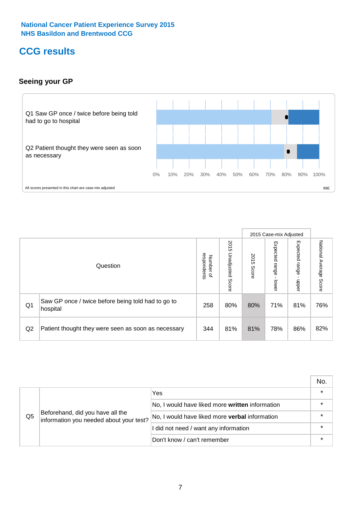## **CCG results**

#### **Seeing your GP**



|    |                                                                |                          |                             |               | 2015 Case-mix Adjusted     |                            |                           |
|----|----------------------------------------------------------------|--------------------------|-----------------------------|---------------|----------------------------|----------------------------|---------------------------|
|    | Question                                                       | respondents<br>Number of | 2015<br>Unadjusted<br>Score | 2015<br>Score | Expected<br>range<br>lower | Expected<br>range<br>doper | National Average<br>Score |
| Q1 | Saw GP once / twice before being told had to go to<br>hospital | 258                      | 80%                         | 80%           | 71%                        | 81%                        | 76%                       |
| Q2 | Patient thought they were seen as soon as necessary            | 344                      | 81%                         | 81%           | 78%                        | 86%                        | 82%                       |

|    |                                                                             |                                                       | No.     |
|----|-----------------------------------------------------------------------------|-------------------------------------------------------|---------|
|    | Beforehand, did you have all the<br>information you needed about your test? | Yes                                                   | $\star$ |
| Q5 |                                                                             | No, I would have liked more written information       |         |
|    |                                                                             | No, I would have liked more <b>verbal</b> information |         |
|    |                                                                             | I did not need / want any information                 | $\star$ |
|    |                                                                             | Don't know / can't remember                           | $\star$ |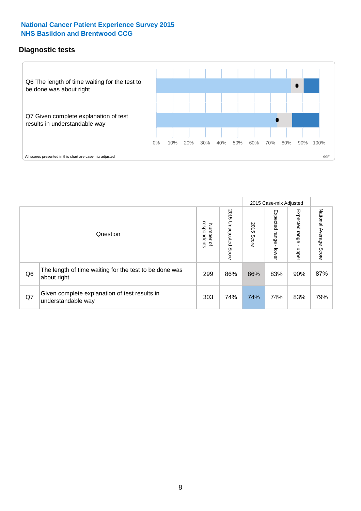#### **Diagnostic tests**



|                |                                                                       |                                       |                             |               | 2015 Case-mix Adjusted  |                         |                           |
|----------------|-----------------------------------------------------------------------|---------------------------------------|-----------------------------|---------------|-------------------------|-------------------------|---------------------------|
|                | Question                                                              | respondents<br>Number<br>$\mathbf{Q}$ | 2015<br>Unadjusted<br>Score | 2015<br>Score | Expected range<br>lower | Expected range<br>nbber | National Average<br>Score |
| Q <sub>6</sub> | The length of time waiting for the test to be done was<br>about right | 299                                   | 86%                         | 86%           | 83%                     | 90%                     | 87%                       |
| Q7             | Given complete explanation of test results in<br>understandable way   | 303                                   | 74%                         | 74%           | 74%                     | 83%                     | 79%                       |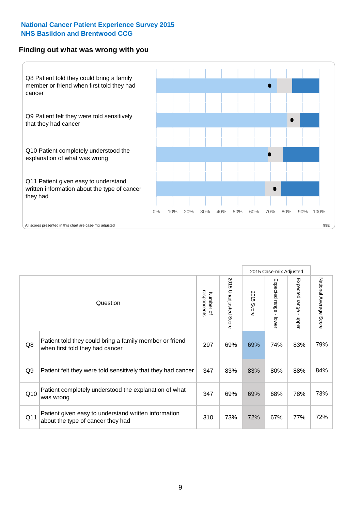#### **Finding out what was wrong with you**



|                |                                                                                            |                          |                       |               | 2015 Case-mix Adjusted |                                         |                        |
|----------------|--------------------------------------------------------------------------------------------|--------------------------|-----------------------|---------------|------------------------|-----------------------------------------|------------------------|
|                | Question                                                                                   | respondents<br>Number of | 2015 Unadjusted Score | 2015<br>Score | Expected range - lower | Expected range<br>$\mathbf{r}$<br>nbber | National Average Score |
| Q8             | Patient told they could bring a family member or friend<br>when first told they had cancer | 297                      | 69%                   | 69%           | 74%                    | 83%                                     | 79%                    |
| Q <sub>9</sub> | Patient felt they were told sensitively that they had cancer                               | 347                      | 83%                   | 83%           | 80%                    | 88%                                     | 84%                    |
| Q10            | Patient completely understood the explanation of what<br>was wrong                         | 347                      | 69%                   | 69%           | 68%                    | 78%                                     | 73%                    |
| Q11            | Patient given easy to understand written information<br>about the type of cancer they had  | 310                      | 73%                   | 72%           | 67%                    | 77%                                     | 72%                    |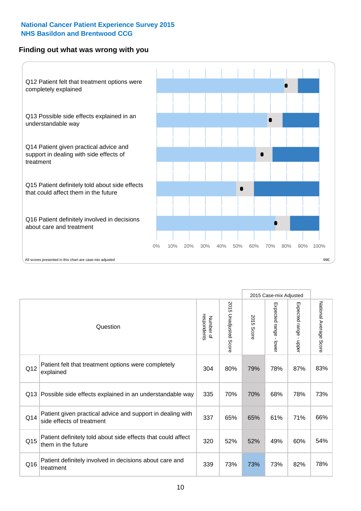#### **Finding out what was wrong with you**



|     |                                                                                         |                          |                          |               | 2015 Case-mix Adjusted                  |                        |                        |
|-----|-----------------------------------------------------------------------------------------|--------------------------|--------------------------|---------------|-----------------------------------------|------------------------|------------------------|
|     | Question                                                                                | Number of<br>respondents | 2015<br>Unadjusted Score | 2015<br>Score | Expected range<br>$\mathbf{r}$<br>lower | Expected range - upper | National Average Score |
| Q12 | Patient felt that treatment options were completely<br>explained                        | 304                      | 80%                      | 79%           | 78%                                     | 87%                    | 83%                    |
| Q13 | Possible side effects explained in an understandable way                                | 335                      | 70%                      | 70%           | 68%                                     | 78%                    | 73%                    |
| Q14 | Patient given practical advice and support in dealing with<br>side effects of treatment | 337                      | 65%                      | 65%           | 61%                                     | 71%                    | 66%                    |
| Q15 | Patient definitely told about side effects that could affect<br>them in the future      | 320                      | 52%                      | 52%           | 49%                                     | 60%                    | 54%                    |
| Q16 | Patient definitely involved in decisions about care and<br>treatment                    | 339                      | 73%                      | 73%           | 73%                                     | 82%                    | 78%                    |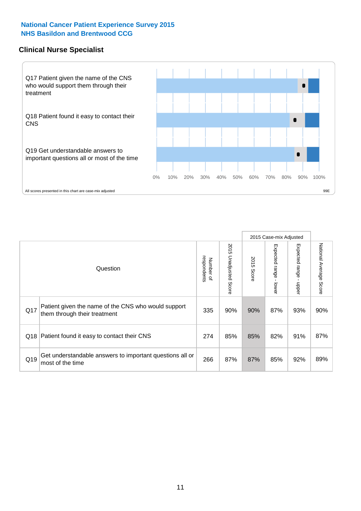#### **Clinical Nurse Specialist**



|     |                                                                                     |                          |                       | 2015 Case-mix Adjusted |                         |                            |                                  |
|-----|-------------------------------------------------------------------------------------|--------------------------|-----------------------|------------------------|-------------------------|----------------------------|----------------------------------|
|     | Question                                                                            | respondents<br>Number of | 2015 Unadjusted Score | 2015<br>Score          | Expected range<br>lower | Expected<br>range<br>nbber | National Average<br><b>Score</b> |
| Q17 | Patient given the name of the CNS who would support<br>them through their treatment | 335                      | 90%                   | 90%                    | 87%                     | 93%                        | 90%                              |
| Q18 | Patient found it easy to contact their CNS                                          | 274                      | 85%                   | 85%                    | 82%                     | 91%                        | 87%                              |
| Q19 | Get understandable answers to important questions all or<br>most of the time        | 266                      | 87%                   | 87%                    | 85%                     | 92%                        | 89%                              |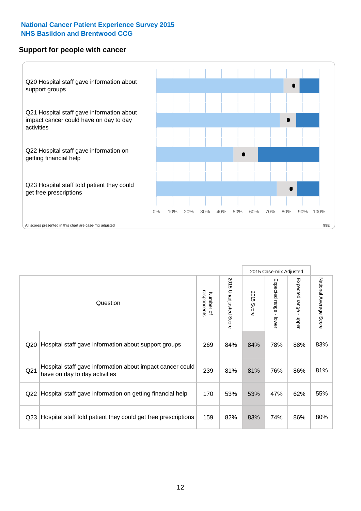#### **Support for people with cancer**



|                 |                                                                                            |                          |                                 |               | 2015 Case-mix Adjusted  |                           |                        |
|-----------------|--------------------------------------------------------------------------------------------|--------------------------|---------------------------------|---------------|-------------------------|---------------------------|------------------------|
|                 | Question                                                                                   | respondents<br>Number of | 2015<br><b>Unadjusted Score</b> | 2015<br>Score | Expected range<br>lower | Expected range<br>- nbber | National Average Score |
| Q <sub>20</sub> | Hospital staff gave information about support groups                                       | 269                      | 84%                             | 84%           | 78%                     | 88%                       | 83%                    |
| Q <sub>21</sub> | Hospital staff gave information about impact cancer could<br>have on day to day activities | 239                      | 81%                             | 81%           | 76%                     | 86%                       | 81%                    |
| Q <sub>22</sub> | Hospital staff gave information on getting financial help                                  | 170                      | 53%                             | 53%           | 47%                     | 62%                       | 55%                    |
| Q <sub>23</sub> | Hospital staff told patient they could get free prescriptions                              | 159                      | 82%                             | 83%           | 74%                     | 86%                       | 80%                    |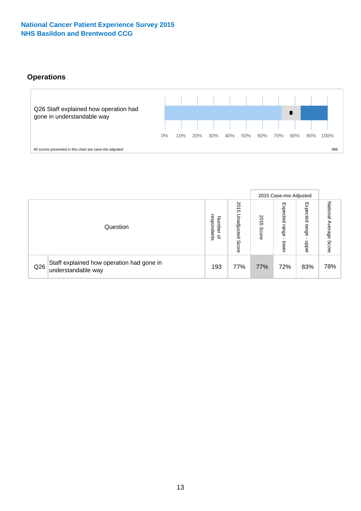#### **Operations**



|     |                                                                 |                                              |                             |                   | 2015 Case-mix Adjusted     |                          |                              |
|-----|-----------------------------------------------------------------|----------------------------------------------|-----------------------------|-------------------|----------------------------|--------------------------|------------------------------|
|     | Question                                                        | respondents<br>Number<br>$\overline{\sigma}$ | 2015<br>Unadjusted<br>Score | 201<br>c<br>Score | Expected<br>range<br>lower | Expected<br>range<br>ddo | National<br>Average<br>Score |
| Q26 | Staff explained how operation had gone in<br>understandable way | 193                                          | 77%                         | 77%               | 72%                        | 83%                      | 78%                          |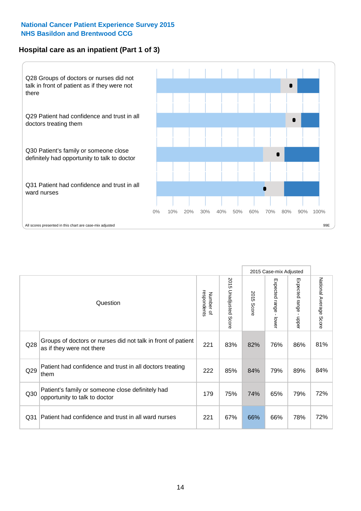#### **Hospital care as an inpatient (Part 1 of 3)**



All scores presented in this chart are case-mix adjusted  $99E$ 

|                 |                                                                                           |                          |                          |                      | 2015 Case-mix Adjusted                  |                                       |                        |
|-----------------|-------------------------------------------------------------------------------------------|--------------------------|--------------------------|----------------------|-----------------------------------------|---------------------------------------|------------------------|
|                 | Question                                                                                  | respondents<br>Number of | 2015<br>Unadjusted Score | 2015<br><b>Score</b> | Expected range<br>$\mathbf{I}$<br>lower | Expected range<br>$\mathbf{I}$<br>ddo | National Average Score |
| Q28             | Groups of doctors or nurses did not talk in front of patient<br>as if they were not there | 221                      | 83%                      | 82%                  | 76%                                     | 86%                                   | 81%                    |
| Q29             | Patient had confidence and trust in all doctors treating<br>them                          | 222                      | 85%                      | 84%                  | 79%                                     | 89%                                   | 84%                    |
| Q30             | Patient's family or someone close definitely had<br>opportunity to talk to doctor         | 179                      | 75%                      | 74%                  | 65%                                     | 79%                                   | 72%                    |
| Q <sub>31</sub> | Patient had confidence and trust in all ward nurses                                       | 221                      | 67%                      | 66%                  | 66%                                     | 78%                                   | 72%                    |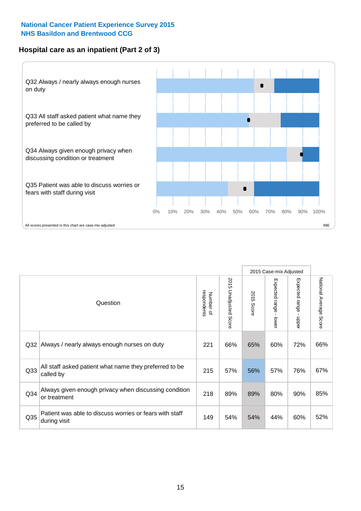#### **Hospital care as an inpatient (Part 2 of 3)**



|                 |                                                                         |                          |                       |               | 2015 Case-mix Adjusted |                                         |                           |
|-----------------|-------------------------------------------------------------------------|--------------------------|-----------------------|---------------|------------------------|-----------------------------------------|---------------------------|
|                 | Question                                                                | respondents<br>Number of | 2015 Unadjusted Score | 2015<br>Score | Expected range - lower | Expected range<br>$\mathbf{I}$<br>nbber | National Average<br>Score |
| Q <sub>32</sub> | Always / nearly always enough nurses on duty                            | 221                      | 66%                   | 65%           | 60%                    | 72%                                     | 66%                       |
| Q33             | All staff asked patient what name they preferred to be<br>called by     | 215                      | 57%                   | 56%           | 57%                    | 76%                                     | 67%                       |
| Q <sub>34</sub> | Always given enough privacy when discussing condition<br>or treatment   | 218                      | 89%                   | 89%           | 80%                    | 90%                                     | 85%                       |
| Q35             | Patient was able to discuss worries or fears with staff<br>during visit | 149                      | 54%                   | 54%           | 44%                    | 60%                                     | 52%                       |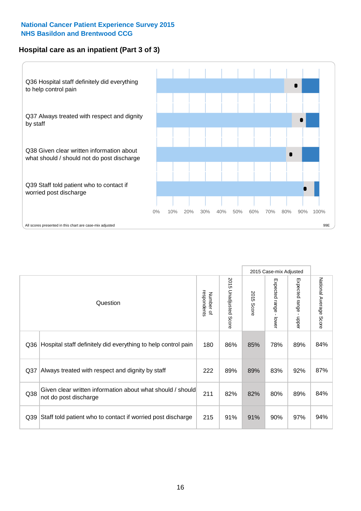#### **Hospital care as an inpatient (Part 3 of 3)**



|                 |                                                                                     |                          |                                 |               | 2015 Case-mix Adjusted  |                        |                        |
|-----------------|-------------------------------------------------------------------------------------|--------------------------|---------------------------------|---------------|-------------------------|------------------------|------------------------|
|                 | Question                                                                            | respondents<br>Number of | 2015<br><b>Unadjusted Score</b> | 2015<br>Score | Expected range<br>lower | Expected range - upper | National Average Score |
| Q36             | Hospital staff definitely did everything to help control pain                       | 180                      | 86%                             | 85%           | 78%                     | 89%                    | 84%                    |
| Q <sub>37</sub> | Always treated with respect and dignity by staff                                    | 222                      | 89%                             | 89%           | 83%                     | 92%                    | 87%                    |
| Q38             | Given clear written information about what should / should<br>not do post discharge | 211                      | 82%                             | 82%           | 80%                     | 89%                    | 84%                    |
| Q39             | Staff told patient who to contact if worried post discharge                         | 215                      | 91%                             | 91%           | 90%                     | 97%                    | 94%                    |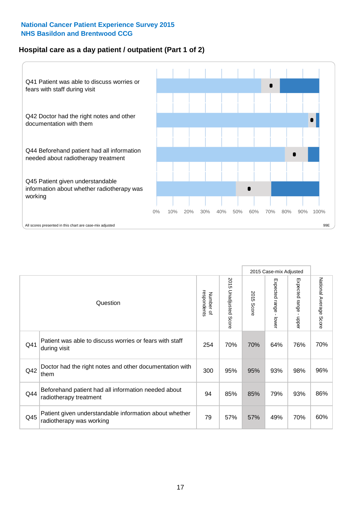#### **Hospital care as a day patient / outpatient (Part 1 of 2)**



|     |                                                                                    |                          |                                 | 2015 Case-mix Adjusted |                                         |                                         |                        |
|-----|------------------------------------------------------------------------------------|--------------------------|---------------------------------|------------------------|-----------------------------------------|-----------------------------------------|------------------------|
|     | Question                                                                           | respondents<br>Number of | 2015<br><b>Unadjusted Score</b> | 2015<br><b>Score</b>   | Expected range<br>$\mathbf{r}$<br>lower | Expected range<br>$\mathbf{I}$<br>nbber | National Average Score |
| Q41 | Patient was able to discuss worries or fears with staff<br>during visit            | 254                      | 70%                             | 70%                    | 64%                                     | 76%                                     | 70%                    |
| Q42 | Doctor had the right notes and other documentation with<br>them                    | 300                      | 95%                             | 95%                    | 93%                                     | 98%                                     | 96%                    |
| Q44 | Beforehand patient had all information needed about<br>radiotherapy treatment      | 94                       | 85%                             | 85%                    | 79%                                     | 93%                                     | 86%                    |
| Q45 | Patient given understandable information about whether<br>radiotherapy was working | 79                       | 57%                             | 57%                    | 49%                                     | 70%                                     | 60%                    |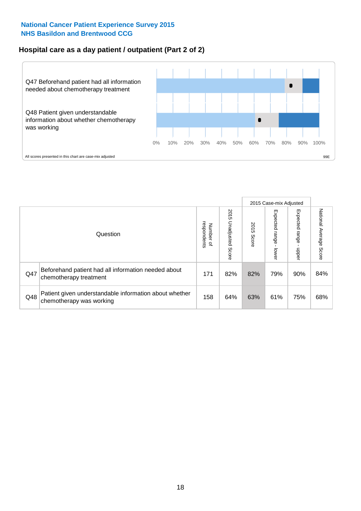#### **Hospital care as a day patient / outpatient (Part 2 of 2)**



|     |                                                                                    |                                       |                             | 2015 Case-mix Adjusted |                             |                         |                           |
|-----|------------------------------------------------------------------------------------|---------------------------------------|-----------------------------|------------------------|-----------------------------|-------------------------|---------------------------|
|     | Question                                                                           | respondents<br>Number<br>$\mathbf{Q}$ | 2015<br>Unadjusted<br>Score | 2015<br>Score          | Expected<br>Irange<br>lower | Expected range<br>doper | National Average<br>Score |
| Q47 | Beforehand patient had all information needed about<br>chemotherapy treatment      | 171                                   | 82%                         | 82%                    | 79%                         | 90%                     | 84%                       |
| Q48 | Patient given understandable information about whether<br>chemotherapy was working | 158                                   | 64%                         | 63%                    | 61%                         | 75%                     | 68%                       |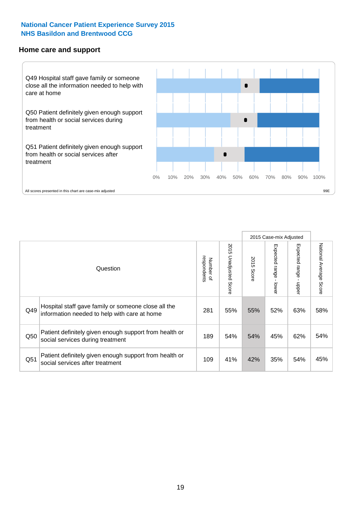#### **Home care and support**



All scores presented in this chart are case-mix adjusted

|                 |                                                                                                     |                          |                          | 2015 Case-mix Adjusted |                         |                         |                        |
|-----------------|-----------------------------------------------------------------------------------------------------|--------------------------|--------------------------|------------------------|-------------------------|-------------------------|------------------------|
|                 | Question                                                                                            | respondents<br>Number of | 2015<br>Unadjusted Score | 2015<br>Score          | Expected range<br>lower | Expected range<br>nbber | National Average Score |
| Q49             | Hospital staff gave family or someone close all the<br>information needed to help with care at home | 281                      | 55%                      | 55%                    | 52%                     | 63%                     | 58%                    |
| Q50             | Patient definitely given enough support from health or<br>social services during treatment          | 189                      | 54%                      | 54%                    | 45%                     | 62%                     | 54%                    |
| Q <sub>51</sub> | Patient definitely given enough support from health or<br>social services after treatment           | 109                      | 41%                      | 42%                    | 35%                     | 54%                     | 45%                    |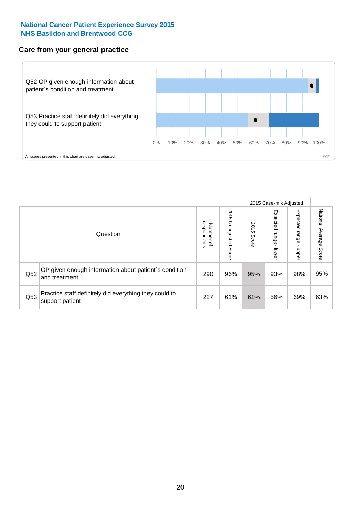#### **Care from your general practice**



|     |                                                                           |                                       |                             | 2015 Case-mix Adjusted |                                    |                         |                           |
|-----|---------------------------------------------------------------------------|---------------------------------------|-----------------------------|------------------------|------------------------------------|-------------------------|---------------------------|
|     | Question                                                                  | respondents<br>Number<br>$\mathbf{Q}$ | 2015<br>Unadjusted<br>Score | 2015<br>Score          | Expected<br><b>Irange</b><br>lower | Expected range<br>doper | National Average<br>Score |
| Q52 | GP given enough information about patient's condition<br>and treatment    | 290                                   | 96%                         | 95%                    | 93%                                | 98%                     | 95%                       |
| Q53 | Practice staff definitely did everything they could to<br>support patient | 227                                   | 61%                         | 61%                    | 56%                                | 69%                     | 63%                       |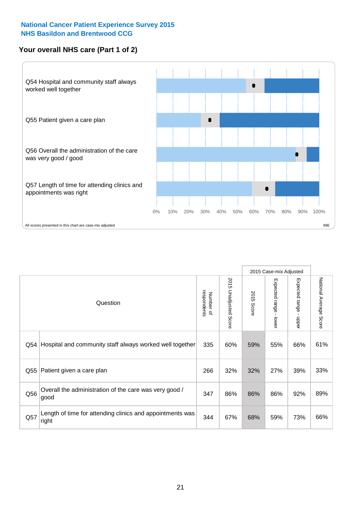#### **Your overall NHS care (Part 1 of 2)**



|     |                                                                    |                          |                                 | 2015 Case-mix Adjusted |                         |                                           |                        |
|-----|--------------------------------------------------------------------|--------------------------|---------------------------------|------------------------|-------------------------|-------------------------------------------|------------------------|
|     | Question                                                           | respondents<br>Number of | 2015<br><b>Unadjusted Score</b> | 2015<br><b>Score</b>   | Expected range<br>lower | Expected range<br>$\blacksquare$<br>nbber | National Average Score |
| Q54 | Hospital and community staff always worked well together           | 335                      | 60%                             | 59%                    | 55%                     | 66%                                       | 61%                    |
| Q55 | Patient given a care plan                                          | 266                      | 32%                             | 32%                    | 27%                     | 39%                                       | 33%                    |
| Q56 | Overall the administration of the care was very good /<br>good     | 347                      | 86%                             | 86%                    | 86%                     | 92%                                       | 89%                    |
| Q57 | Length of time for attending clinics and appointments was<br>right | 344                      | 67%                             | 68%                    | 59%                     | 73%                                       | 66%                    |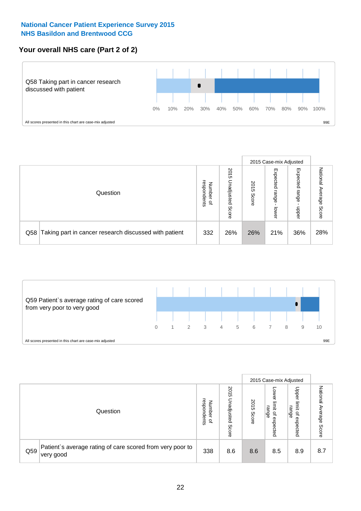#### **Your overall NHS care (Part 2 of 2)**



|                                                           |                                         | 2015 Case-mix Adjusted      |               |                            |                            |                           |
|-----------------------------------------------------------|-----------------------------------------|-----------------------------|---------------|----------------------------|----------------------------|---------------------------|
| Question                                                  | respondents<br>Number<br>$\overline{a}$ | 2015<br>Unadjusted<br>Score | 2015<br>Score | Expected<br>range<br>lower | Expected<br>range<br>doper | National<br>Average Score |
| Q58 Taking part in cancer research discussed with patient | 332                                     | 26%                         | 26%           | 21%                        | 36%                        | 28%                       |



|     |                                                                        |                                              |                             |               |                                         | 2015 Case-mix Adjusted                          |                        |
|-----|------------------------------------------------------------------------|----------------------------------------------|-----------------------------|---------------|-----------------------------------------|-------------------------------------------------|------------------------|
|     | Question                                                               | respondents<br>Number<br>$\overline{\sigma}$ | 2015<br>Unadjusted<br>Score | 2015<br>Score | OWer<br>limit<br>range<br>٩<br>expected | Upper<br>jimit<br>range<br>$\Omega$<br>expected | National Average Score |
| Q59 | Patient's average rating of care scored from very poor to<br>very good | 338                                          | 8.6                         | 8.6           | 8.5                                     | 8.9                                             | 8.7                    |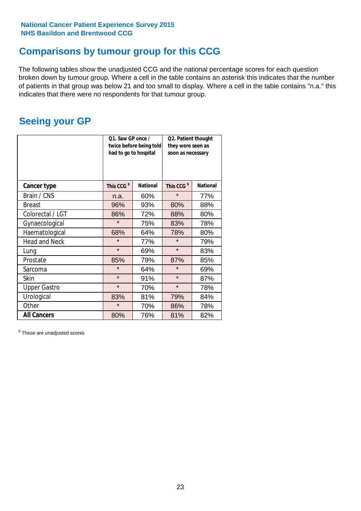## **Comparisons by tumour group for this CCG**

The following tables show the unadjusted CCG and the national percentage scores for each question broken down by tumour group. Where a cell in the table contains an asterisk this indicates that the number of patients in that group was below 21 and too small to display. Where a cell in the table contains "n.a." this indicates that there were no respondents for that tumour group.

### **Seeing your GP**

|                      | Q1. Saw GP once /<br>had to go to hospital | twice before being told | Q2. Patient thought<br>they were seen as<br>soon as necessary |                 |  |
|----------------------|--------------------------------------------|-------------------------|---------------------------------------------------------------|-----------------|--|
| <b>Cancer type</b>   | This CCG <sup>\$</sup>                     | <b>National</b>         | This CCG <sup>\$</sup>                                        | <b>National</b> |  |
| Brain / CNS          | n.a.                                       | 60%                     | $\star$                                                       | 77%             |  |
| <b>Breast</b>        | 96%                                        | 93%                     | 80%                                                           | 88%             |  |
| Colorectal / LGT     | 86%                                        | 72%                     | 88%                                                           | 80%             |  |
| Gynaecological       | $\star$                                    | 75%                     | 83%                                                           | 78%             |  |
| Haematological       | 68%                                        | 64%                     | 78%                                                           | 80%             |  |
| <b>Head and Neck</b> | $\star$                                    | 77%                     | $\star$                                                       | 79%             |  |
| Lung                 | $\star$                                    | 69%                     | $\star$                                                       | 83%             |  |
| Prostate             | 85%                                        | 79%                     | 87%                                                           | 85%             |  |
| Sarcoma              | $\star$                                    | 64%                     | $\star$                                                       | 69%             |  |
| <b>Skin</b>          | $\star$                                    | 91%                     | $\star$                                                       | 87%             |  |
| <b>Upper Gastro</b>  | $\star$                                    | 70%                     | $\star$                                                       | 78%             |  |
| Urological           | 83%                                        | 81%                     | 79%                                                           | 84%             |  |
| Other                | $\star$                                    | 70%                     | 86%                                                           | 78%             |  |
| <b>All Cancers</b>   | 80%                                        | 76%                     | 81%                                                           | 82%             |  |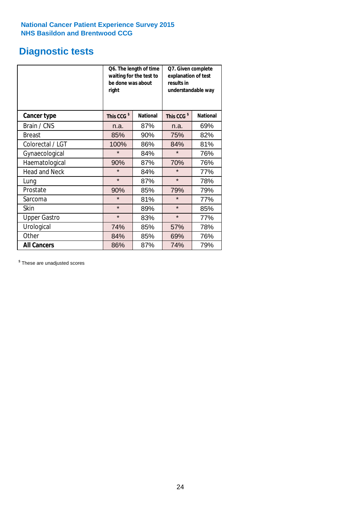### **Diagnostic tests**

|                      | be done was about<br>right | Q6. The length of time<br>waiting for the test to | Q7. Given complete<br>explanation of test<br>results in<br>understandable way |                 |  |
|----------------------|----------------------------|---------------------------------------------------|-------------------------------------------------------------------------------|-----------------|--|
| <b>Cancer type</b>   | This CCG <sup>\$</sup>     | <b>National</b>                                   | This CCG <sup>\$</sup>                                                        | <b>National</b> |  |
| Brain / CNS          | n.a.                       | 87%                                               | n.a.                                                                          | 69%             |  |
| <b>Breast</b>        | 85%                        | 90%                                               | 75%                                                                           | 82%             |  |
| Colorectal / LGT     | 100%                       | 86%                                               | 84%                                                                           | 81%             |  |
| Gynaecological       | $\star$                    | 84%                                               | $\star$                                                                       | 76%             |  |
| Haematological       | 90%                        | 87%                                               | 70%                                                                           | 76%             |  |
| <b>Head and Neck</b> | $\star$                    | 84%                                               | $\star$                                                                       | 77%             |  |
| Lung                 | $\star$                    | 87%                                               | $\star$                                                                       | 78%             |  |
| Prostate             | 90%                        | 85%                                               | 79%                                                                           | 79%             |  |
| Sarcoma              | $\star$                    | 81%                                               | $\star$                                                                       | 77%             |  |
| Skin                 | $\star$                    | 89%                                               | $\star$                                                                       | 85%             |  |
| <b>Upper Gastro</b>  | $\star$                    | 83%                                               | $\star$                                                                       | 77%             |  |
| Urological           | 74%                        | 85%                                               | 57%                                                                           | 78%             |  |
| Other                | 84%                        | 85%                                               | 69%                                                                           | 76%             |  |
| <b>All Cancers</b>   | 86%                        | 87%                                               | 74%                                                                           | 79%             |  |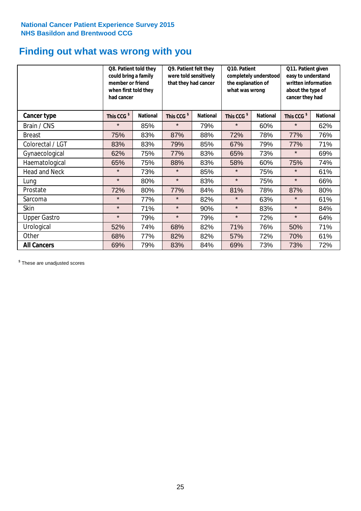### **Finding out what was wrong with you**

|                      | Q8. Patient told they<br>could bring a family<br>member or friend<br>when first told they<br>had cancer |                 | Q9. Patient felt they<br>were told sensitively<br>that they had cancer |                 | Q10. Patient<br>completely understood<br>the explanation of<br>what was wrong |                 | Q11. Patient given<br>easy to understand<br>written information<br>about the type of<br>cancer they had |                 |
|----------------------|---------------------------------------------------------------------------------------------------------|-----------------|------------------------------------------------------------------------|-----------------|-------------------------------------------------------------------------------|-----------------|---------------------------------------------------------------------------------------------------------|-----------------|
| Cancer type          | This CCG <sup>\$</sup>                                                                                  | <b>National</b> | This CCG <sup>\$</sup>                                                 | <b>National</b> | This CCG <sup>\$</sup>                                                        | <b>National</b> | This CCG <sup>\$</sup>                                                                                  | <b>National</b> |
| Brain / CNS          | $\star$                                                                                                 | 85%             | $\star$                                                                | 79%             | $\star$                                                                       | 60%             | $\star$                                                                                                 | 62%             |
| <b>Breast</b>        | 75%                                                                                                     | 83%             | 87%                                                                    | 88%             | 72%                                                                           | 78%             | 77%                                                                                                     | 76%             |
| Colorectal / LGT     | 83%                                                                                                     | 83%             | 79%                                                                    | 85%             | 67%                                                                           | 79%             | 77%                                                                                                     | 71%             |
| Gynaecological       | 62%                                                                                                     | 75%             | 77%                                                                    | 83%             | 65%                                                                           | 73%             | $\star$                                                                                                 | 69%             |
| Haematological       | 65%                                                                                                     | 75%             | 88%                                                                    | 83%             | 58%                                                                           | 60%             | 75%                                                                                                     | 74%             |
| <b>Head and Neck</b> | $\star$                                                                                                 | 73%             | $\star$                                                                | 85%             | $\star$                                                                       | 75%             | $\star$                                                                                                 | 61%             |
| Lung                 | $\star$                                                                                                 | 80%             | $\star$                                                                | 83%             | $\star$                                                                       | 75%             | $\star$                                                                                                 | 66%             |
| Prostate             | 72%                                                                                                     | 80%             | 77%                                                                    | 84%             | 81%                                                                           | 78%             | 87%                                                                                                     | 80%             |
| Sarcoma              | $\star$                                                                                                 | 77%             | $\star$                                                                | 82%             | $\star$                                                                       | 63%             | $\star$                                                                                                 | 61%             |
| Skin                 | $\star$                                                                                                 | 71%             | $\star$                                                                | 90%             | $\star$                                                                       | 83%             | $\star$                                                                                                 | 84%             |
| <b>Upper Gastro</b>  | $\star$                                                                                                 | 79%             | $\star$                                                                | 79%             | $\star$                                                                       | 72%             | $\star$                                                                                                 | 64%             |
| Urological           | 52%                                                                                                     | 74%             | 68%                                                                    | 82%             | 71%                                                                           | 76%             | 50%                                                                                                     | 71%             |
| Other                | 68%                                                                                                     | 77%             | 82%                                                                    | 82%             | 57%                                                                           | 72%             | 70%                                                                                                     | 61%             |
| <b>All Cancers</b>   | 69%                                                                                                     | 79%             | 83%                                                                    | 84%             | 69%                                                                           | 73%             | 73%                                                                                                     | 72%             |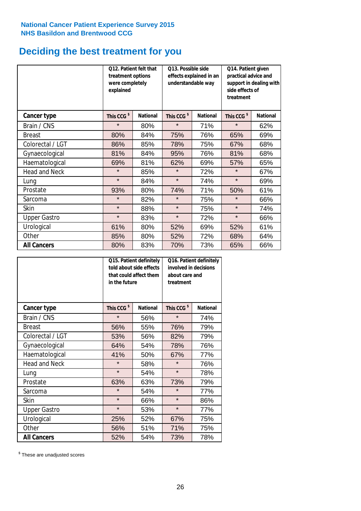### **Deciding the best treatment for you**

|                      | treatment options<br>were completely<br>explained | Q12. Patient felt that | Q13. Possible side<br>understandable way | effects explained in an | Q14. Patient given<br>practical advice and<br>support in dealing with<br>side effects of<br>treatment<br>This CCG <sup>\$</sup> |                 |  |
|----------------------|---------------------------------------------------|------------------------|------------------------------------------|-------------------------|---------------------------------------------------------------------------------------------------------------------------------|-----------------|--|
| <b>Cancer type</b>   | This CCG <sup>\$</sup>                            | <b>National</b>        | This CCG <sup>\$</sup>                   | <b>National</b>         |                                                                                                                                 | <b>National</b> |  |
| Brain / CNS          | $\star$                                           | 80%                    | $\star$                                  | 71%                     | $\star$                                                                                                                         | 62%             |  |
| <b>Breast</b>        | 80%                                               | 84%                    | 75%                                      | 76%                     | 65%                                                                                                                             | 69%             |  |
| Colorectal / LGT     | 86%                                               | 85%                    | 78%                                      | 75%                     | 67%                                                                                                                             | 68%             |  |
| Gynaecological       | 81%                                               | 84%                    | 95%                                      | 76%                     | 81%                                                                                                                             | 68%             |  |
| Haematological       | 69%                                               | 81%                    | 62%                                      | 69%                     | 57%                                                                                                                             | 65%             |  |
| <b>Head and Neck</b> | $\star$                                           | 85%                    | $\star$                                  | 72%                     | $\star$                                                                                                                         | 67%             |  |
| Lung                 | $\star$                                           | 84%                    | $\star$                                  | 74%                     | $\star$                                                                                                                         | 69%             |  |
| Prostate             | 93%                                               | 80%                    | 74%                                      | 71%                     | 50%                                                                                                                             | 61%             |  |
| Sarcoma              | $\star$                                           | 82%                    | $\star$                                  | 75%                     | $\star$                                                                                                                         | 66%             |  |
| Skin                 | $\star$                                           | 88%                    | $\star$                                  | 75%                     | $\star$                                                                                                                         | 74%             |  |
| <b>Upper Gastro</b>  | $\star$                                           | 83%                    | $\star$                                  | 72%                     | $\star$                                                                                                                         | 66%             |  |
| Urological           | 61%                                               | 80%                    | 52%                                      | 69%                     | 52%                                                                                                                             | 61%             |  |
| Other                | 85%                                               | 80%                    | 52%                                      | 72%                     | 68%                                                                                                                             | 64%             |  |
| <b>All Cancers</b>   | 80%                                               | 83%                    | 70%                                      | 73%                     | 65%                                                                                                                             | 66%             |  |

|                      | in the future          | Q15. Patient definitely<br>told about side effects<br>that could affect them | Q16. Patient definitely<br>involved in decisions<br>about care and<br>treatment |                 |  |
|----------------------|------------------------|------------------------------------------------------------------------------|---------------------------------------------------------------------------------|-----------------|--|
| <b>Cancer type</b>   | This CCG <sup>\$</sup> | <b>National</b>                                                              | This CCG <sup>\$</sup>                                                          | <b>National</b> |  |
| Brain / CNS          | $\star$                | 56%                                                                          | $\star$                                                                         | 74%             |  |
| <b>Breast</b>        | 56%                    | 55%                                                                          | 76%                                                                             | 79%             |  |
| Colorectal / LGT     | 53%                    | 56%                                                                          | 82%                                                                             | 79%             |  |
| Gynaecological       | 54%<br>64%             |                                                                              | 78%                                                                             | 76%             |  |
| Haematological       | 41%                    | 50%                                                                          | 67%                                                                             | 77%             |  |
| <b>Head and Neck</b> | $\star$                | 58%                                                                          | $\star$                                                                         | 76%             |  |
| Lung                 | $\star$                | 54%                                                                          | $\star$                                                                         | 78%             |  |
| Prostate             | 63%                    | 63%                                                                          | 73%                                                                             | 79%             |  |
| Sarcoma              | $\star$                | 54%                                                                          | $\star$                                                                         | 77%             |  |
| Skin                 | $\star$                | 66%                                                                          | $\star$                                                                         | 86%             |  |
| <b>Upper Gastro</b>  | $\star$                | 53%                                                                          | $\star$                                                                         | 77%             |  |
| Urological           | 25%                    | 52%                                                                          | 67%                                                                             | 75%             |  |
| Other                | 56%                    | 51%                                                                          | 71%                                                                             | 75%             |  |
| <b>All Cancers</b>   | 52%                    | 54%                                                                          | 73%                                                                             | 78%             |  |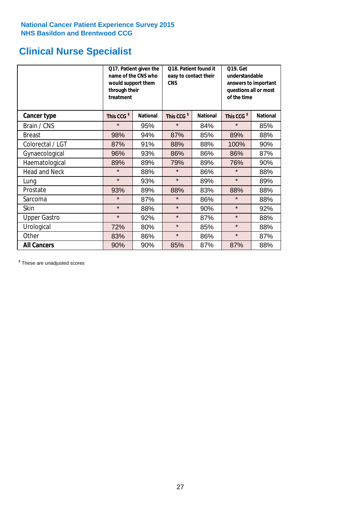### **Clinical Nurse Specialist**

|                      | would support them<br>through their<br>treatment | Q17. Patient given the<br>name of the CNS who | Q18. Patient found it<br>easy to contact their<br><b>CNS</b> |     | <b>Q19. Get</b><br>understandable<br>answers to important<br>questions all or most<br>of the time |                 |
|----------------------|--------------------------------------------------|-----------------------------------------------|--------------------------------------------------------------|-----|---------------------------------------------------------------------------------------------------|-----------------|
| <b>Cancer type</b>   | This CCG <sup>\$</sup>                           | <b>National</b>                               | This CCG <sup>\$</sup><br><b>National</b>                    |     | This CCG <sup>\$</sup>                                                                            | <b>National</b> |
| Brain / CNS          | $\star$                                          | 95%                                           | $\star$                                                      | 84% | $\star$                                                                                           | 85%             |
| <b>Breast</b>        | 98%                                              | 94%                                           | 87%                                                          | 85% | 89%                                                                                               | 88%             |
| Colorectal / LGT     | 87%                                              | 91%                                           | 88%                                                          | 88% | 100%                                                                                              | 90%             |
| Gynaecological       | 96%                                              | 93%                                           | 86%<br>86%                                                   |     | 86%                                                                                               | 87%             |
| Haematological       | 89%                                              | 89%                                           | 79%                                                          | 89% | 76%                                                                                               | 90%             |
| <b>Head and Neck</b> | $\star$                                          | 88%                                           | $\star$                                                      | 86% | $\star$                                                                                           | 88%             |
| Lung                 | $\star$                                          | 93%                                           | $\star$                                                      | 89% | $\star$                                                                                           | 89%             |
| Prostate             | 93%                                              | 89%                                           | 88%                                                          | 83% | 88%                                                                                               | 88%             |
| Sarcoma              | $\star$                                          | 87%                                           | $\star$                                                      | 86% | $\star$                                                                                           | 88%             |
| Skin                 | $\star$                                          | 88%                                           | $\star$                                                      | 90% | $\star$                                                                                           | 92%             |
| <b>Upper Gastro</b>  | $\star$                                          | 92%                                           | $\star$                                                      | 87% | $\star$                                                                                           | 88%             |
| Urological           | 72%                                              | 80%                                           | $\star$                                                      | 85% | $\star$                                                                                           | 88%             |
| Other                | 83%                                              | 86%                                           | $\star$                                                      | 86% | $\star$                                                                                           | 87%             |
| <b>All Cancers</b>   | 90%                                              | 90%                                           | 85%                                                          | 87% | 87%                                                                                               | 88%             |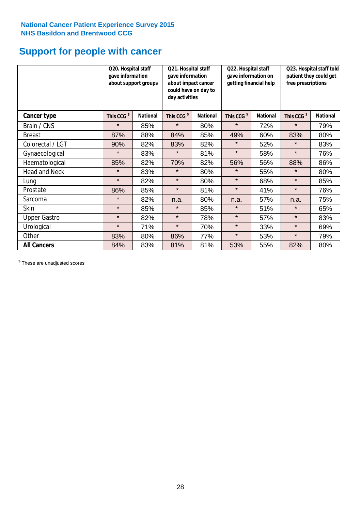### **Support for people with cancer**

|                      |                        | Q20. Hospital staff<br>gave information<br>about support groups |                        | Q21. Hospital staff<br>gave information<br>about impact cancer<br>could have on day to<br>day activities |                        | Q22. Hospital staff<br>gave information on<br>getting financial help |                        | Q23. Hospital staff told<br>patient they could get<br>free prescriptions |  |
|----------------------|------------------------|-----------------------------------------------------------------|------------------------|----------------------------------------------------------------------------------------------------------|------------------------|----------------------------------------------------------------------|------------------------|--------------------------------------------------------------------------|--|
| <b>Cancer type</b>   | This CCG <sup>\$</sup> | <b>National</b>                                                 | This CCG <sup>\$</sup> | <b>National</b>                                                                                          | This CCG <sup>\$</sup> | <b>National</b>                                                      | This CCG <sup>\$</sup> | <b>National</b>                                                          |  |
| Brain / CNS          | $\star$                | 85%                                                             | $\star$                | 80%                                                                                                      | $\star$                | 72%                                                                  | $\star$                | 79%                                                                      |  |
| <b>Breast</b>        | 87%                    | 88%                                                             | 84%                    | 85%                                                                                                      | 49%                    | 60%                                                                  | 83%                    | 80%                                                                      |  |
| Colorectal / LGT     | 90%                    | 82%                                                             | 83%                    | 82%                                                                                                      | $\star$                | 52%                                                                  | $\star$                | 83%                                                                      |  |
| Gynaecological       | $\star$                | 83%                                                             | $\star$                | 81%                                                                                                      | $\star$                | 58%                                                                  | $\star$                | 76%                                                                      |  |
| Haematological       | 85%                    | 82%                                                             | 70%                    | 82%                                                                                                      | 56%                    | 56%                                                                  | 88%                    | 86%                                                                      |  |
| <b>Head and Neck</b> | $\star$                | 83%                                                             | $\star$                | 80%                                                                                                      | $\star$                | 55%                                                                  | $\star$                | 80%                                                                      |  |
| Lung                 | $\star$                | 82%                                                             | $\star$                | 80%                                                                                                      | $\star$                | 68%                                                                  | $\star$                | 85%                                                                      |  |
| Prostate             | 86%                    | 85%                                                             | $\star$                | 81%                                                                                                      | $\star$                | 41%                                                                  | $\star$                | 76%                                                                      |  |
| Sarcoma              | $\star$                | 82%                                                             | n.a.                   | 80%                                                                                                      | n.a.                   | 57%                                                                  | n.a.                   | 75%                                                                      |  |
| Skin                 | $\star$                | 85%                                                             | $\star$                | 85%                                                                                                      | $\star$                | 51%                                                                  | $\star$                | 65%                                                                      |  |
| <b>Upper Gastro</b>  | $\star$                | 82%                                                             | $\star$                | 78%                                                                                                      | $\star$                | 57%                                                                  | $\star$                | 83%                                                                      |  |
| Urological           | $\star$                | 71%                                                             | $\star$                | 70%                                                                                                      | $\star$                | 33%                                                                  | $\star$                | 69%                                                                      |  |
| Other                | 83%                    | 80%                                                             | 86%                    | 77%                                                                                                      | $\star$                | 53%                                                                  | $\star$                | 79%                                                                      |  |
| <b>All Cancers</b>   | 84%                    | 83%                                                             | 81%                    | 81%                                                                                                      | 53%                    | 55%                                                                  | 82%                    | 80%                                                                      |  |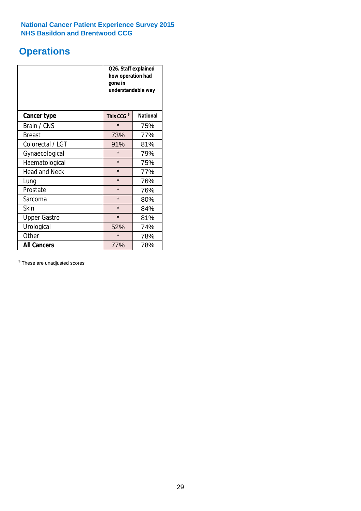### **Operations**

|                      | Q26. Staff explained<br>how operation had<br>gone in<br>understandable way |                 |  |  |  |
|----------------------|----------------------------------------------------------------------------|-----------------|--|--|--|
| <b>Cancer type</b>   | This CCG <sup>\$</sup>                                                     | <b>National</b> |  |  |  |
| Brain / CNS          | $\star$                                                                    | 75%             |  |  |  |
| <b>Breast</b>        | 73%                                                                        | 77%             |  |  |  |
| Colorectal / LGT     | 91%                                                                        | 81%             |  |  |  |
| Gynaecological       | $\star$                                                                    | 79%             |  |  |  |
| Haematological       | $\star$<br>75%                                                             |                 |  |  |  |
| <b>Head and Neck</b> | $\star$                                                                    | 77%             |  |  |  |
| Lung                 | $\star$                                                                    | 76%             |  |  |  |
| Prostate             | $\star$                                                                    | 76%             |  |  |  |
| Sarcoma              | $\star$                                                                    | 80%             |  |  |  |
| Skin                 | $\star$                                                                    | 84%             |  |  |  |
| <b>Upper Gastro</b>  | $\star$                                                                    | 81%             |  |  |  |
| Urological           | 52%                                                                        | 74%             |  |  |  |
| Other                | $\star$<br>78%                                                             |                 |  |  |  |
| <b>All Cancers</b>   | 77%<br>78%                                                                 |                 |  |  |  |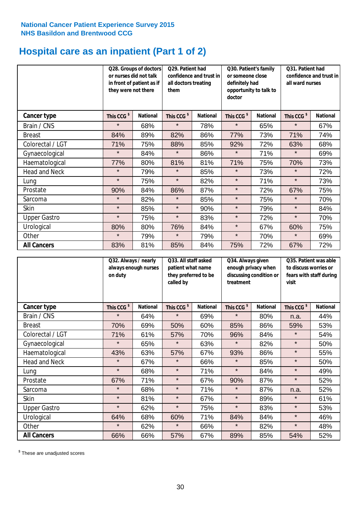# **Hospital care as an inpatient (Part 1 of 2)**

|                      | or nurses did not talk<br>they were not there | Q28. Groups of doctors<br>in front of patient as if | Q29. Patient had<br>confidence and trust in<br>all doctors treating<br>them |                 | Q30. Patient's family<br>or someone close<br>definitely had<br>opportunity to talk to<br>doctor |                 | Q31. Patient had<br>confidence and trust in I<br>all ward nurses |                 |
|----------------------|-----------------------------------------------|-----------------------------------------------------|-----------------------------------------------------------------------------|-----------------|-------------------------------------------------------------------------------------------------|-----------------|------------------------------------------------------------------|-----------------|
| Cancer type          | This CCG <sup>\$</sup>                        | <b>National</b>                                     | This CCG <sup>\$</sup>                                                      | <b>National</b> | This CCG <sup>\$</sup>                                                                          | <b>National</b> | This CCG <sup>\$</sup>                                           | <b>National</b> |
| Brain / CNS          | $\star$                                       | 68%                                                 | $\star$                                                                     | 78%             | $\star$                                                                                         | 65%             | $\star$                                                          | 67%             |
| <b>Breast</b>        | 84%                                           | 89%                                                 | 82%                                                                         | 86%             | 77%                                                                                             | 73%             | 71%                                                              | 74%             |
| Colorectal / LGT     | 71%                                           | 75%                                                 | 88%                                                                         | 85%             | 92%                                                                                             | 72%             | 63%                                                              | 68%             |
| Gynaecological       | $\star$                                       | 84%                                                 | $\star$                                                                     | 86%             | $\star$                                                                                         | 71%             | $\star$                                                          | 69%             |
| Haematological       | 77%                                           | 80%                                                 | 81%                                                                         | 81%             | 71%                                                                                             | 75%             | 70%                                                              | 73%             |
| <b>Head and Neck</b> | $\star$                                       | 79%                                                 | $\star$                                                                     | 85%             | $\star$                                                                                         | 73%             | $\star$                                                          | 72%             |
| Lung                 | $\star$                                       | 75%                                                 | $\star$                                                                     | 82%             | $\star$                                                                                         | 71%             | $\star$                                                          | 73%             |
| Prostate             | 90%                                           | 84%                                                 | 86%                                                                         | 87%             | $\star$                                                                                         | 72%             | 67%                                                              | 75%             |
| Sarcoma              | $\star$                                       | 82%                                                 | $\star$                                                                     | 85%             | $\star$                                                                                         | 75%             | $\star$                                                          | 70%             |
| Skin                 | $\star$                                       | 85%                                                 | $\star$                                                                     | 90%             | $\star$                                                                                         | 79%             | $\star$                                                          | 84%             |
| <b>Upper Gastro</b>  | $\star$                                       | 75%                                                 | $\star$                                                                     | 83%             | $\star$                                                                                         | 72%             | $\star$                                                          | 70%             |
| Urological           | 80%                                           | 80%                                                 | 76%                                                                         | 84%             | $\star$                                                                                         | 67%             | 60%                                                              | 75%             |
| Other                | $\star$                                       | 79%                                                 | $\star$                                                                     | 79%             | $\star$                                                                                         | 70%             | $\star$                                                          | 69%             |
| <b>All Cancers</b>   | 83%                                           | 81%                                                 | 85%                                                                         | 84%             | 75%                                                                                             | 72%             | 67%                                                              | 72%             |

|                      | Q32. Always / nearly<br>always enough nurses<br>on duty |                 | Q33. All staff asked<br>patient what name<br>they preferred to be<br>called by |                 | Q34. Always given<br>enough privacy when<br>discussing condition or<br>treatment |                 | Q35. Patient was able<br>to discuss worries or<br>fears with staff during<br>visit |                 |
|----------------------|---------------------------------------------------------|-----------------|--------------------------------------------------------------------------------|-----------------|----------------------------------------------------------------------------------|-----------------|------------------------------------------------------------------------------------|-----------------|
| <b>Cancer type</b>   | This CCG <sup>\$</sup>                                  | <b>National</b> | This CCG <sup>\$</sup>                                                         | <b>National</b> | This CCG <sup>\$</sup>                                                           | <b>National</b> | This CCG <sup>\$</sup>                                                             | <b>National</b> |
| Brain / CNS          | $\star$                                                 | 64%             | $\star$                                                                        | 69%             | $\star$                                                                          | 80%             | n.a.                                                                               | 44%             |
| <b>Breast</b>        | 70%                                                     | 69%             | 50%                                                                            | 60%             | 85%                                                                              | 86%             | 59%                                                                                | 53%             |
| Colorectal / LGT     | 71%                                                     | 61%             | 57%                                                                            | 70%             | 96%                                                                              | 84%             | $\star$                                                                            | 54%             |
| Gynaecological       | $\star$                                                 | 65%             | $\star$                                                                        | 63%             | $\star$                                                                          | 82%             | $\star$                                                                            | 50%             |
| Haematological       | 43%                                                     | 63%             | 57%                                                                            | 67%             | 93%                                                                              | 86%             | $\star$                                                                            | 55%             |
| <b>Head and Neck</b> | $\star$                                                 | 67%             | $\star$                                                                        | 66%             | $\star$                                                                          | 85%             | $\star$                                                                            | 50%             |
| Lung                 | $\star$                                                 | 68%             | $\star$                                                                        | 71%             | $\star$                                                                          | 84%             | $\star$                                                                            | 49%             |
| Prostate             | 67%                                                     | 71%             | $\star$                                                                        | 67%             | 90%                                                                              | 87%             | $\star$                                                                            | 52%             |
| Sarcoma              | $\star$                                                 | 68%             | $\star$                                                                        | 71%             | $\star$                                                                          | 87%             | n.a.                                                                               | 52%             |
| Skin                 | $\star$                                                 | 81%             | $\star$                                                                        | 67%             | $\star$                                                                          | 89%             | $\star$                                                                            | 61%             |
| <b>Upper Gastro</b>  | $\star$                                                 | 62%             | $\star$                                                                        | 75%             | $\star$                                                                          | 83%             | $\star$                                                                            | 53%             |
| Urological           | 64%                                                     | 68%             | 60%                                                                            | 71%             | 84%                                                                              | 84%             | $\star$                                                                            | 46%             |
| Other                | $\star$                                                 | 62%             | $\star$                                                                        | 66%             | $\star$                                                                          | 82%             | $\star$                                                                            | 48%             |
| <b>All Cancers</b>   | 66%                                                     | 66%             | 57%                                                                            | 67%             | 89%                                                                              | 85%             | 54%                                                                                | 52%             |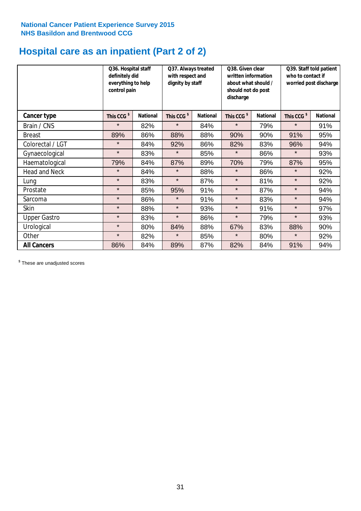## **Hospital care as an inpatient (Part 2 of 2)**

|                      | Q36. Hospital staff<br>definitely did<br>everything to help<br>control pain |                 | Q37. Always treated<br>with respect and<br>dignity by staff |                 | Q38. Given clear<br>written information<br>about what should /<br>should not do post<br>discharge |                 | Q39. Staff told patient<br>who to contact if<br>worried post discharge |                 |  |
|----------------------|-----------------------------------------------------------------------------|-----------------|-------------------------------------------------------------|-----------------|---------------------------------------------------------------------------------------------------|-----------------|------------------------------------------------------------------------|-----------------|--|
| Cancer type          | This CCG <sup>\$</sup>                                                      | <b>National</b> | This CCG <sup>\$</sup>                                      | <b>National</b> | This CCG <sup>\$</sup>                                                                            | <b>National</b> | This CCG <sup>\$</sup>                                                 | <b>National</b> |  |
| Brain / CNS          | $\star$                                                                     | 82%             | $\star$                                                     | 84%             | $\star$                                                                                           | 79%             | $\star$                                                                | 91%             |  |
| <b>Breast</b>        | 89%                                                                         | 86%             | 88%                                                         | 88%             | 90%                                                                                               | 90%             | 91%                                                                    | 95%             |  |
| Colorectal / LGT     | $\star$                                                                     | 84%             | 92%                                                         | 86%             | 82%                                                                                               | 83%             | 96%                                                                    | 94%             |  |
| Gynaecological       | $\star$                                                                     | 83%             | $\star$                                                     | 85%             | $\star$                                                                                           | 86%             | $\star$                                                                | 93%             |  |
| Haematological       | 79%                                                                         | 84%             | 87%                                                         | 89%             | 70%                                                                                               | 79%             | 87%                                                                    | 95%             |  |
| <b>Head and Neck</b> | $\star$                                                                     | 84%             | $\star$                                                     | 88%             | $\star$                                                                                           | 86%             | $\star$                                                                | 92%             |  |
| Lung                 | $\star$                                                                     | 83%             | $\star$                                                     | 87%             | $\star$                                                                                           | 81%             | $\star$                                                                | 92%             |  |
| Prostate             | $\star$                                                                     | 85%             | 95%                                                         | 91%             | $\star$                                                                                           | 87%             | $\star$                                                                | 94%             |  |
| Sarcoma              | $\star$                                                                     | 86%             | $\star$                                                     | 91%             | $\star$                                                                                           | 83%             | $\star$                                                                | 94%             |  |
| Skin                 | $\star$                                                                     | 88%             | $\star$                                                     | 93%             | $\star$                                                                                           | 91%             | $\star$                                                                | 97%             |  |
| <b>Upper Gastro</b>  | $\star$                                                                     | 83%             | $\star$                                                     | 86%             | $\star$                                                                                           | 79%             | $\star$                                                                | 93%             |  |
| Urological           | $\star$                                                                     | 80%             | 84%                                                         | 88%             | 67%                                                                                               | 83%             | 88%                                                                    | 90%             |  |
| Other                | $\star$                                                                     | 82%             | $\star$                                                     | 85%             | $\star$                                                                                           | 80%             | $\star$                                                                | 92%             |  |
| <b>All Cancers</b>   | 86%                                                                         | 84%             | 89%                                                         | 87%             | 82%                                                                                               | 84%             | 91%                                                                    | 94%             |  |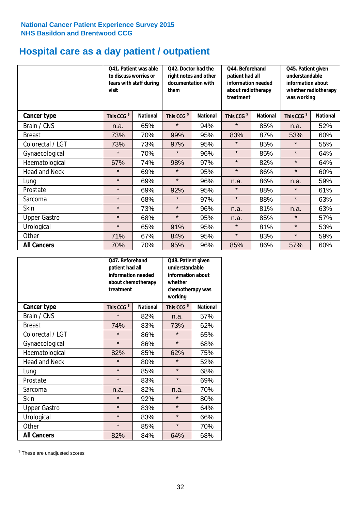# **Hospital care as a day patient / outpatient**

|                      | to discuss worries or<br>visit | Q41. Patient was able<br>fears with staff during | Q42. Doctor had the<br>right notes and other<br>documentation with<br>them |                 | Q44. Beforehand<br>patient had all<br>information needed<br>about radiotherapy<br>treatment |                 | Q45. Patient given<br>understandable<br>information about<br>whether radiotherapy<br>was working |                 |
|----------------------|--------------------------------|--------------------------------------------------|----------------------------------------------------------------------------|-----------------|---------------------------------------------------------------------------------------------|-----------------|--------------------------------------------------------------------------------------------------|-----------------|
| Cancer type          | This CCG <sup>\$</sup>         | <b>National</b>                                  | This CCG <sup>\$</sup>                                                     | <b>National</b> | This CCG <sup>\$</sup>                                                                      | <b>National</b> | This CCG <sup>\$</sup>                                                                           | <b>National</b> |
| Brain / CNS          | n.a.                           | 65%                                              | $\star$                                                                    | 94%             | $\star$                                                                                     | 85%             | n.a.                                                                                             | 52%             |
| <b>Breast</b>        | 73%                            | 70%                                              | 99%                                                                        | 95%             | 83%                                                                                         | 87%             | 53%                                                                                              | 60%             |
| Colorectal / LGT     | 73%                            | 73%                                              | 97%                                                                        | 95%             | $\star$                                                                                     | 85%             | $\star$                                                                                          | 55%             |
| Gynaecological       | $\star$                        | 70%                                              | $\star$                                                                    | 96%             | $\star$                                                                                     | 85%             | $\star$                                                                                          | 64%             |
| Haematological       | 67%                            | 74%                                              | 98%                                                                        | 97%             | $\star$                                                                                     | 82%             | $\star$                                                                                          | 64%             |
| <b>Head and Neck</b> | $\star$                        | 69%                                              | $\star$                                                                    | 95%             | $\star$                                                                                     | 86%             | $\star$                                                                                          | 60%             |
| Lung                 | $\star$                        | 69%                                              | $\star$                                                                    | 96%             | n.a.                                                                                        | 86%             | n.a.                                                                                             | 59%             |
| Prostate             | $\star$                        | 69%                                              | 92%                                                                        | 95%             | $\star$                                                                                     | 88%             | $\star$                                                                                          | 61%             |
| Sarcoma              | $\star$                        | 68%                                              | $\star$                                                                    | 97%             | $\star$                                                                                     | 88%             | $\star$                                                                                          | 63%             |
| Skin                 | $\star$                        | 73%                                              | $\star$                                                                    | 96%             | n.a.                                                                                        | 81%             | n.a.                                                                                             | 63%             |
| <b>Upper Gastro</b>  | $\star$                        | 68%                                              | $\star$                                                                    | 95%             | n.a.                                                                                        | 85%             | $\star$                                                                                          | 57%             |
| Urological           | $\star$                        | 65%                                              | 91%                                                                        | 95%             | $\star$                                                                                     | 81%             | $\star$                                                                                          | 53%             |
| Other                | 71%                            | 67%                                              | 84%                                                                        | 95%             | $\star$                                                                                     | 83%             | $\star$                                                                                          | 59%             |
| <b>All Cancers</b>   | 70%                            | 70%                                              | 95%                                                                        | 96%             | 85%                                                                                         | 86%             | 57%                                                                                              | 60%             |

|                      | O47. Beforehand<br>patient had all<br>information needed<br>treatment | about chemotherapy | Q48. Patient given<br>understandable<br>information about<br>whether<br>chemotherapy was<br>working |                 |  |
|----------------------|-----------------------------------------------------------------------|--------------------|-----------------------------------------------------------------------------------------------------|-----------------|--|
| <b>Cancer type</b>   | This CCG <sup>\$</sup>                                                | <b>National</b>    | This CCG <sup>\$</sup>                                                                              | <b>National</b> |  |
| Brain / CNS          | $\star$                                                               | 82%                | n.a.                                                                                                | 57%             |  |
| <b>Breast</b>        | 74%                                                                   | 83%                | 73%                                                                                                 | 62%             |  |
| Colorectal / LGT     | $\star$                                                               | 86%                | $\star$                                                                                             | 65%             |  |
| Gynaecological       | $\star$                                                               | 86%                | $\star$                                                                                             | 68%             |  |
| Haematological       | 82%<br>85%                                                            |                    | 62%                                                                                                 | 75%             |  |
| <b>Head and Neck</b> | $\star$                                                               | 80%                | $\star$                                                                                             | 52%             |  |
| Lung                 | $\star$                                                               | 85%                | $\star$                                                                                             | 68%             |  |
| Prostate             | $\star$                                                               | 83%                | $\star$                                                                                             | 69%             |  |
| Sarcoma              | n.a.                                                                  | 82%                | n.a.                                                                                                | 70%             |  |
| Skin                 | $\star$                                                               | 92%                | $\star$                                                                                             | 80%             |  |
| <b>Upper Gastro</b>  | $\star$                                                               | 83%                | $\star$                                                                                             | 64%             |  |
| Urological           | $\star$                                                               | 83%                | $\star$                                                                                             | 66%             |  |
| Other                | $\star$                                                               | 85%                | $\star$                                                                                             | 70%             |  |
| <b>All Cancers</b>   | 82%                                                                   | 84%                | 64%                                                                                                 | 68%             |  |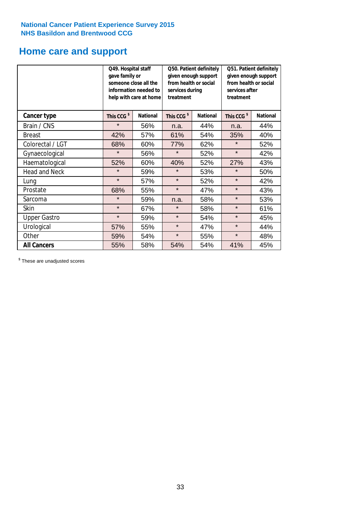### **Home care and support**

|                      | Q49. Hospital staff<br>gave family or | someone close all the<br>information needed to<br>help with care at home | Q50. Patient definitely<br>given enough support<br>from health or social<br>services during<br>treatment |                 | Q51. Patient definitely<br>given enough support<br>from health or social<br>services after<br>treatment |                 |  |
|----------------------|---------------------------------------|--------------------------------------------------------------------------|----------------------------------------------------------------------------------------------------------|-----------------|---------------------------------------------------------------------------------------------------------|-----------------|--|
| <b>Cancer type</b>   | This CCG <sup>\$</sup>                | <b>National</b>                                                          | This CCG <sup>\$</sup>                                                                                   | <b>National</b> | This CCG <sup>\$</sup>                                                                                  | <b>National</b> |  |
| Brain / CNS          | $\star$                               | 56%                                                                      | n.a.                                                                                                     | 44%             | n.a.                                                                                                    | 44%             |  |
| <b>Breast</b>        | 42%                                   | 57%                                                                      | 61%                                                                                                      | 54%             | 35%                                                                                                     | 40%             |  |
| Colorectal / LGT     | 68%                                   | 60%                                                                      | 77%                                                                                                      | 62%             | $\star$                                                                                                 | 52%             |  |
| Gynaecological       | $\star$                               | 56%                                                                      | $\star$<br>52%                                                                                           |                 | $\star$                                                                                                 | 42%             |  |
| Haematological       | 52%                                   | 60%                                                                      | 40%                                                                                                      | 52%             | 27%                                                                                                     | 43%             |  |
| <b>Head and Neck</b> | $\star$                               | 59%                                                                      | $\star$                                                                                                  | 53%             | $\star$                                                                                                 | 50%             |  |
| Lung                 | $\star$                               | 57%                                                                      | $\star$                                                                                                  | 52%             | $\star$                                                                                                 | 42%             |  |
| Prostate             | 68%                                   | 55%                                                                      | $\star$                                                                                                  | 47%             | $\star$                                                                                                 | 43%             |  |
| Sarcoma              | $\star$                               | 59%                                                                      | n.a.                                                                                                     | 58%             | $\star$                                                                                                 | 53%             |  |
| Skin                 | $\star$                               | 67%                                                                      | $\star$                                                                                                  | 58%             | $\star$                                                                                                 | 61%             |  |
| <b>Upper Gastro</b>  | $\star$                               | 59%                                                                      | $\star$                                                                                                  | 54%             | $\star$                                                                                                 | 45%             |  |
| Urological           | 57%                                   | 55%                                                                      | $\star$                                                                                                  | 47%             | $\star$                                                                                                 | 44%             |  |
| Other                | 59%                                   | 54%                                                                      | $\star$<br>55%                                                                                           |                 | $\star$                                                                                                 | 48%             |  |
| <b>All Cancers</b>   | 55%                                   | 58%                                                                      | 54%                                                                                                      | 54%             | 41%                                                                                                     | 45%             |  |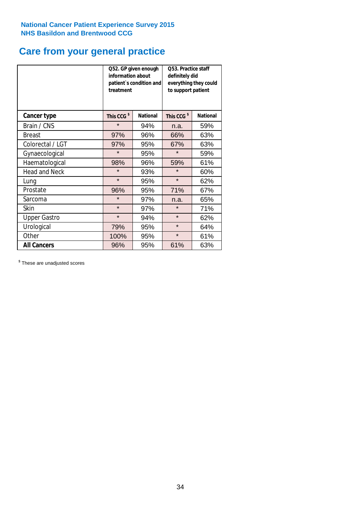### **Care from your general practice**

|                      | information about<br>treatment | Q52. GP given enough<br>patient's condition and | O53. Practice staff<br>definitely did<br>everything they could<br>to support patient |                 |  |
|----------------------|--------------------------------|-------------------------------------------------|--------------------------------------------------------------------------------------|-----------------|--|
| <b>Cancer type</b>   | This CCG <sup>\$</sup>         | <b>National</b>                                 | This CCG <sup>\$</sup>                                                               | <b>National</b> |  |
| Brain / CNS          | $\star$                        | 94%                                             | n.a.                                                                                 | 59%             |  |
| <b>Breast</b>        | 97%                            | 96%                                             | 66%                                                                                  | 63%             |  |
| Colorectal / LGT     | 97%                            | 95%                                             | 67%                                                                                  | 63%             |  |
| Gynaecological       | $\star$<br>95%                 |                                                 | $\star$                                                                              | 59%             |  |
| Haematological       | 98%<br>96%                     |                                                 | 59%                                                                                  | 61%             |  |
| <b>Head and Neck</b> | $\star$                        | 93%                                             | $\star$                                                                              | 60%             |  |
| Lung                 | $\star$                        | 95%                                             | $\star$                                                                              | 62%             |  |
| Prostate             | 96%                            | 95%                                             | 71%                                                                                  | 67%             |  |
| Sarcoma              | $\star$                        | 97%                                             | n.a.                                                                                 | 65%             |  |
| Skin                 | $\star$                        | 97%                                             | $\star$                                                                              | 71%             |  |
| <b>Upper Gastro</b>  | $\star$                        | 94%                                             | $\star$                                                                              | 62%             |  |
| Urological           | 79%                            | 95%                                             | $\star$                                                                              | 64%             |  |
| Other                | 100%                           | 95%                                             | $\star$                                                                              | 61%             |  |
| <b>All Cancers</b>   | 96%                            | 95%                                             | 61%                                                                                  | 63%             |  |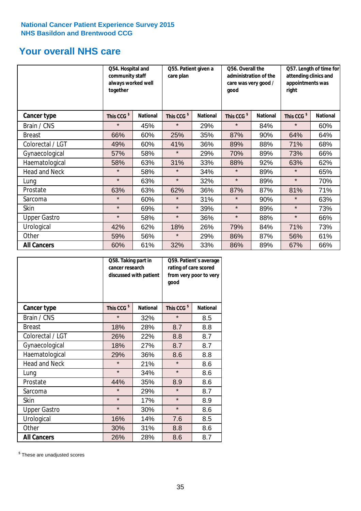### **Your overall NHS care**

|                      | Q54. Hospital and<br>community staff<br>always worked well<br>together |                 | care plan              | Q55. Patient given a |                        | Q56. Overall the<br>administration of the<br>care was very good /<br>qood |                        | Q57. Length of time for<br>attending clinics and<br>appointments was<br>right |  |
|----------------------|------------------------------------------------------------------------|-----------------|------------------------|----------------------|------------------------|---------------------------------------------------------------------------|------------------------|-------------------------------------------------------------------------------|--|
| <b>Cancer type</b>   | This CCG <sup>\$</sup>                                                 | <b>National</b> | This CCG <sup>\$</sup> | <b>National</b>      | This CCG <sup>\$</sup> | <b>National</b>                                                           | This CCG <sup>\$</sup> | <b>National</b>                                                               |  |
| Brain / CNS          | $\star$                                                                | 45%             | $\star$                | 29%                  | $\star$                | 84%                                                                       | $\star$                | 60%                                                                           |  |
| <b>Breast</b>        | 66%                                                                    | 60%             | 25%                    | 35%                  | 87%                    | 90%                                                                       | 64%                    | 64%                                                                           |  |
| Colorectal / LGT     | 49%                                                                    | 60%             | 41%                    | 36%                  | 89%                    | 88%                                                                       | 71%                    | 68%                                                                           |  |
| Gynaecological       | 57%                                                                    | 58%             | $\star$                | 29%                  | 70%                    | 89%                                                                       | 73%                    | 66%                                                                           |  |
| Haematological       | 58%                                                                    | 63%             | 31%                    | 33%                  | 88%                    | 92%                                                                       | 63%                    | 62%                                                                           |  |
| <b>Head and Neck</b> | $\star$                                                                | 58%             | $\star$                | 34%                  | $\star$                | 89%                                                                       | $\star$                | 65%                                                                           |  |
| Lung                 | $\star$                                                                | 63%             | $\star$                | 32%                  | $\star$                | 89%                                                                       | $\star$                | 70%                                                                           |  |
| Prostate             | 63%                                                                    | 63%             | 62%                    | 36%                  | 87%                    | 87%                                                                       | 81%                    | 71%                                                                           |  |
| Sarcoma              | $\star$                                                                | 60%             | $\star$                | 31%                  | $\star$                | 90%                                                                       | $\star$                | 63%                                                                           |  |
| Skin                 | $\star$                                                                | 69%             | $\star$                | 39%                  | $\star$                | 89%                                                                       | $\star$                | 73%                                                                           |  |
| <b>Upper Gastro</b>  | $\star$                                                                | 58%             | $\star$                | 36%                  | $\star$                | 88%                                                                       | $\star$                | 66%                                                                           |  |
| Urological           | 42%                                                                    | 62%             | 18%                    | 26%                  | 79%                    | 84%                                                                       | 71%                    | 73%                                                                           |  |
| Other                | 59%                                                                    | 56%             | $\star$                | 29%                  | 86%                    | 87%                                                                       | 56%                    | 61%                                                                           |  |
| <b>All Cancers</b>   | 60%                                                                    | 61%             | 32%                    | 33%                  | 86%                    | 89%                                                                       | 67%                    | 66%                                                                           |  |

|                      | Q58. Taking part in<br>cancer research | discussed with patient | Q59. Patient's average<br>rating of care scored<br>from very poor to very<br>good |                 |  |
|----------------------|----------------------------------------|------------------------|-----------------------------------------------------------------------------------|-----------------|--|
| <b>Cancer type</b>   | This CCG <sup>\$</sup>                 | <b>National</b>        | This CCG <sup>\$</sup>                                                            | <b>National</b> |  |
| Brain / CNS          | $\star$                                | 32%                    | $\star$                                                                           | 8.5             |  |
| <b>Breast</b>        | 18%                                    | 28%                    | 8.7                                                                               | 8.8             |  |
| Colorectal / LGT     | 26%                                    | 22%                    | 8.8                                                                               | 8.7             |  |
| Gynaecological       | 27%<br>18%                             |                        | 8.7                                                                               | 8.7             |  |
| Haematological       | 29%<br>36%                             |                        | 8.6                                                                               | 8.8             |  |
| <b>Head and Neck</b> | $\star$                                | 21%                    | $\star$                                                                           | 8.6             |  |
| Lung                 | $\star$                                | 34%                    | $\star$                                                                           | 8.6             |  |
| Prostate             | 44%                                    | 35%                    | 8.9                                                                               | 8.6             |  |
| Sarcoma              | $\star$                                | 29%                    | $\star$                                                                           | 8.7             |  |
| <b>Skin</b>          | $\star$                                | 17%                    | $\star$                                                                           | 8.9             |  |
| <b>Upper Gastro</b>  | $\star$                                | 30%                    | $\star$                                                                           | 8.6             |  |
| Urological           | 16%                                    | 14%                    | 7.6                                                                               | 8.5             |  |
| Other                | 30%                                    | 31%                    | 8.8                                                                               | 8.6             |  |
| <b>All Cancers</b>   | 26%                                    | 28%                    | 8.6                                                                               | 8.7             |  |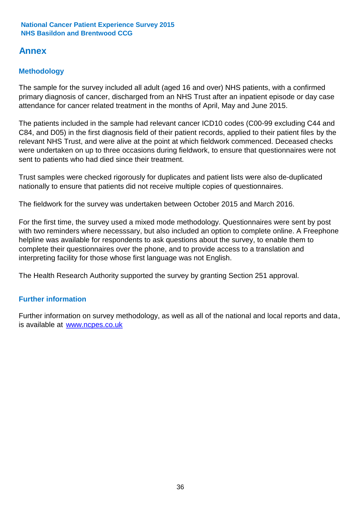### **Annex**

### **Methodology**

The sample for the survey included all adult (aged 16 and over) NHS patients, with a confirmed primary diagnosis of cancer, discharged from an NHS Trust after an inpatient episode or day case attendance for cancer related treatment in the months of April, May and June 2015.

The patients included in the sample had relevant cancer ICD10 codes (C00-99 excluding C44 and C84, and D05) in the first diagnosis field of their patient records, applied to their patient files by the relevant NHS Trust, and were alive at the point at which fieldwork commenced. Deceased checks were undertaken on up to three occasions during fieldwork, to ensure that questionnaires were not sent to patients who had died since their treatment.

Trust samples were checked rigorously for duplicates and patient lists were also de-duplicated nationally to ensure that patients did not receive multiple copies of questionnaires.

The fieldwork for the survey was undertaken between October 2015 and March 2016.

For the first time, the survey used a mixed mode methodology. Questionnaires were sent by post with two reminders where necesssary, but also included an option to complete online. A Freephone helpline was available for respondents to ask questions about the survey, to enable them to complete their questionnaires over the phone, and to provide access to a translation and interpreting facility for those whose first language was not English.

The Health Research Authority supported the survey by granting Section 251 approval.

#### **Further information**

Further information on survey methodology, as well as all of the national and local reports and data, is available at www.ncpes.co.uk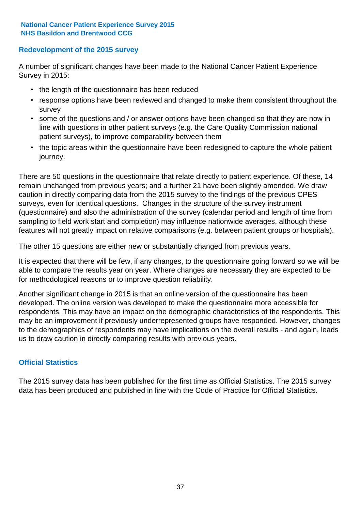#### **Redevelopment of the 2015 survey**

A number of significant changes have been made to the National Cancer Patient Experience Survey in 2015:

- the length of the questionnaire has been reduced
- response options have been reviewed and changed to make them consistent throughout the survey
- some of the questions and / or answer options have been changed so that they are now in line with questions in other patient surveys (e.g. the Care Quality Commission national patient surveys), to improve comparability between them
- the topic areas within the questionnaire have been redesigned to capture the whole patient journey.

There are 50 questions in the questionnaire that relate directly to patient experience. Of these, 14 remain unchanged from previous years; and a further 21 have been slightly amended. We draw caution in directly comparing data from the 2015 survey to the findings of the previous CPES surveys, even for identical questions. Changes in the structure of the survey instrument (questionnaire) and also the administration of the survey (calendar period and length of time from sampling to field work start and completion) may influence nationwide averages, although these features will not greatly impact on relative comparisons (e.g. between patient groups or hospitals).

The other 15 questions are either new or substantially changed from previous years.

It is expected that there will be few, if any changes, to the questionnaire going forward so we will be able to compare the results year on year. Where changes are necessary they are expected to be for methodological reasons or to improve question reliability.

Another significant change in 2015 is that an online version of the questionnaire has been developed. The online version was developed to make the questionnaire more accessible for respondents. This may have an impact on the demographic characteristics of the respondents. This may be an improvement if previously underrepresented groups have responded. However, changes to the demographics of respondents may have implications on the overall results - and again, leads us to draw caution in directly comparing results with previous years.

#### **Official Statistics**

The 2015 survey data has been published for the first time as Official Statistics. The 2015 survey data has been produced and published in line with the Code of Practice for Official Statistics.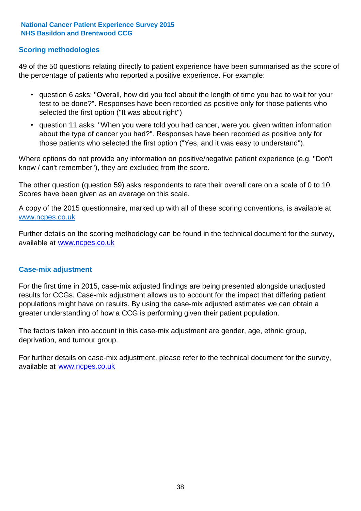#### **Scoring methodologies**

49 of the 50 questions relating directly to patient experience have been summarised as the score of the percentage of patients who reported a positive experience. For example:

- question 6 asks: "Overall, how did you feel about the length of time you had to wait for your test to be done?". Responses have been recorded as positive only for those patients who selected the first option ("It was about right")
- question 11 asks: "When you were told you had cancer, were you given written information about the type of cancer you had?". Responses have been recorded as positive only for those patients who selected the first option ("Yes, and it was easy to understand").

Where options do not provide any information on positive/negative patient experience (e.g. "Don't know / can't remember"), they are excluded from the score.

The other question (question 59) asks respondents to rate their overall care on a scale of 0 to 10. Scores have been given as an average on this scale.

A copy of the 2015 questionnaire, marked up with all of these scoring conventions, is available at www.ncpes.co.uk

Further details on the scoring methodology can be found in the technical document for the survey, available at <u>www.ncpes.co.uk</u>

#### **Case-mix adjustment**

For the first time in 2015, case-mix adjusted findings are being presented alongside unadjusted results for CCGs. Case-mix adjustment allows us to account for the impact that differing patient populations might have on results. By using the case-mix adjusted estimates we can obtain a greater understanding of how a CCG is performing given their patient population.

The factors taken into account in this case-mix adjustment are gender, age, ethnic group, deprivation, and tumour group.

For further details on case-mix adjustment, please refer to the technical document for the survey, available at www.ncpes.co.uk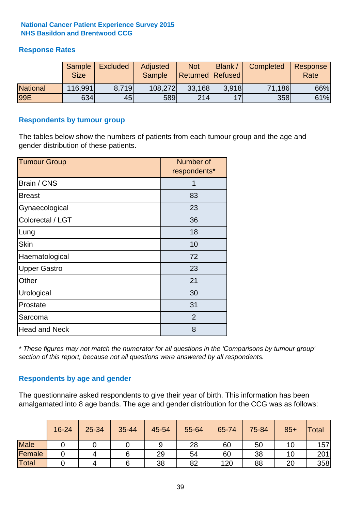#### **Response Rates**

|                 | Sample<br><b>Size</b> | <b>Excluded</b> | Adjusted<br><b>Sample</b> | <b>Not</b><br>Returned Refused | Blank / | Completed | Response<br>Rate |
|-----------------|-----------------------|-----------------|---------------------------|--------------------------------|---------|-----------|------------------|
| <b>National</b> | 116,991               | 8.719           | 108,272                   | 33,168                         | 3.918   | 71,186    | 66%              |
| 99E             | 634                   | 45              | 589                       | 214                            | 17      | 358       | 61%              |

#### **Respondents by tumour group**

The tables below show the numbers of patients from each tumour group and the age and gender distribution of these patients.

| <b>Tumour Group</b>  | Number of<br>respondents* |  |  |
|----------------------|---------------------------|--|--|
| Brain / CNS          | 1                         |  |  |
| <b>Breast</b>        | 83                        |  |  |
| Gynaecological       | 23                        |  |  |
| Colorectal / LGT     | 36                        |  |  |
| Lung                 | 18                        |  |  |
| <b>Skin</b>          | 10                        |  |  |
| Haematological       | 72                        |  |  |
| <b>Upper Gastro</b>  | 23                        |  |  |
| Other                | 21                        |  |  |
| Urological           | 30                        |  |  |
| Prostate             | 31                        |  |  |
| Sarcoma              | $\overline{2}$            |  |  |
| <b>Head and Neck</b> | 8                         |  |  |

*\* These figures may not match the numerator for all questions in the 'Comparisons by tumour group' section of this report, because not all questions were answered by all respondents.*

#### **Respondents by age and gender**

The questionnaire asked respondents to give their year of birth. This information has been amalgamated into 8 age bands. The age and gender distribution for the CCG was as follows:

|             | 16-24 | 25-34 | 35-44 | 45-54 | 55-64 | 65-74 | 75-84 | $85+$ | <b>Total</b> |
|-------------|-------|-------|-------|-------|-------|-------|-------|-------|--------------|
| <b>Male</b> |       |       |       | 9     | 28    | 60    | 50    | 10    | 157          |
| Female      |       |       |       | 29    | 54    | 60    | 38    | 10    | 201          |
| Total       |       |       |       | 38    | 82    | 120   | 88    | 20    | 358          |